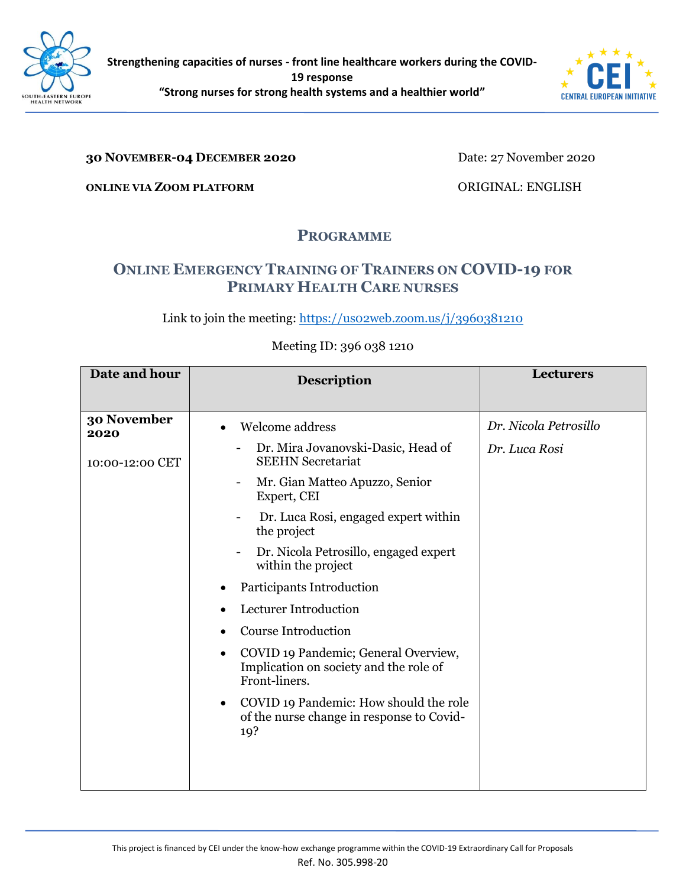



## **30 NOVEMBER-04 DECEMBER 2020**

Date: 27 November 2020

**ONLINE VIA ZOOM PLATFORM**

ORIGINAL: ENGLISH

## **PROGRAMME**

## **ONLINE EMERGENCY TRAINING OF TRAINERS ON COVID-19 FOR PRIMARY HEALTH CARE NURSES**

Link to join the meeting: https://uso2web.zoom.us/j/3960381210

## Meeting ID: 396 038 1210

| Date and hour                          | <b>Description</b>                                                                                                                                                                                                                                                                                                                                                                                                                                                                                                                                                      | <b>Lecturers</b>                       |
|----------------------------------------|-------------------------------------------------------------------------------------------------------------------------------------------------------------------------------------------------------------------------------------------------------------------------------------------------------------------------------------------------------------------------------------------------------------------------------------------------------------------------------------------------------------------------------------------------------------------------|----------------------------------------|
| 30 November<br>2020<br>10:00-12:00 CET | Welcome address<br>Dr. Mira Jovanovski-Dasic, Head of<br><b>SEEHN</b> Secretariat<br>Mr. Gian Matteo Apuzzo, Senior<br>Expert, CEI<br>Dr. Luca Rosi, engaged expert within<br>the project<br>Dr. Nicola Petrosillo, engaged expert<br>within the project<br>Participants Introduction<br>Lecturer Introduction<br><b>Course Introduction</b><br>COVID 19 Pandemic; General Overview,<br>$\bullet$<br>Implication on society and the role of<br>Front-liners.<br>COVID 19 Pandemic: How should the role<br>$\bullet$<br>of the nurse change in response to Covid-<br>19? | Dr. Nicola Petrosillo<br>Dr. Luca Rosi |
|                                        |                                                                                                                                                                                                                                                                                                                                                                                                                                                                                                                                                                         |                                        |